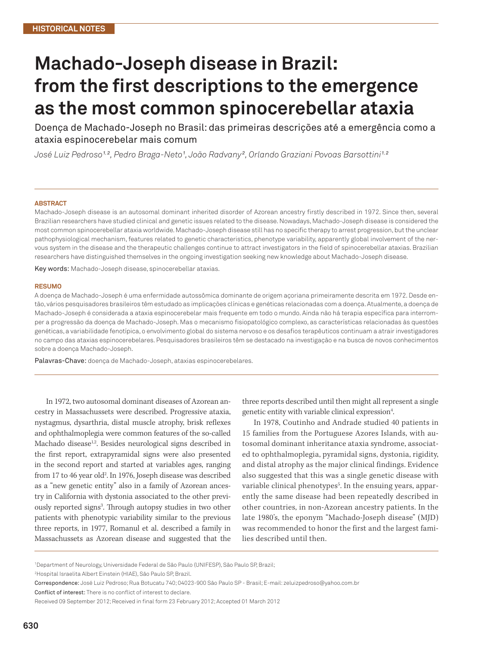## **Machado-Joseph disease in Brazil: from the first descriptions to the emergence as the most common spinocerebellar ataxia**

Doença de Machado-Joseph no Brasil: das primeiras descrições até a emergência como a ataxia espinocerebelar mais comum

José Luiz Pedroso1<sup>, 2</sup>, Pedro Braga-Neto1, João Radvany², Orlando Graziani Povoas Barsottini1<sup>, 2</sup>

## **ABSTRACT**

Machado-Joseph disease is an autosomal dominant inherited disorder of Azorean ancestry firstly described in 1972. Since then, several Brazilian researchers have studied clinical and genetic issues related to the disease. Nowadays, Machado-Joseph disease is considered the most common spinocerebellar ataxia worldwide. Machado-Joseph disease still has no specific therapy to arrest progression, but the unclear pathophysiological mechanism, features related to genetic characteristics, phenotype variability, apparently global involvement of the nervous system in the disease and the therapeutic challenges continue to attract investigators in the field of spinocerebellar ataxias. Brazilian researchers have distinguished themselves in the ongoing investigation seeking new knowledge about Machado-Joseph disease.

Key words: Machado-Joseph disease, spinocerebellar ataxias.

## **RESUMO**

A doença de Machado-Joseph é uma enfermidade autossômica dominante de origem açoriana primeiramente descrita em 1972. Desde então, vários pesquisadores brasileiros têm estudado as implicações clínicas e genéticas relacionadas com a doença. Atualmente, a doença de Machado-Joseph é considerada a ataxia espinocerebelar mais frequente em todo o mundo. Ainda não há terapia específica para interromper a progressão da doença de Machado-Joseph. Mas o mecanismo fisiopatológico complexo, as características relacionadas às questões genéticas, a variabilidade fenotípica, o envolvimento global do sistema nervoso e os desafios terapêuticos continuam a atrair investigadores no campo das ataxias espinocerebelares. Pesquisadores brasileiros têm se destacado na investigação e na busca de novos conhecimentos sobre a doença Machado-Joseph.

Palavras-Chave: doença de Machado-Joseph, ataxias espinocerebelares.

In 1972, two autosomal dominant diseases of Azorean ancestry in Massachussets were described. Progressive ataxia, nystagmus, dysarthria, distal muscle atrophy, brisk reflexes and ophthalmoplegia were common features of the so-called Machado disease<sup>1,2</sup>. Besides neurological signs described in the first report, extrapyramidal signs were also presented in the second report and started at variables ages, ranging from 17 to 46 year old<sup>2</sup>. In 1976, Joseph disease was described as a "new genetic entity" also in a family of Azorean ancestry in California with dystonia associated to the other previously reported signs<sup>3</sup>. Through autopsy studies in two other patients with phenotypic variability similar to the previous three reports, in 1977, Romanul et al. described a family in Massachussets as Azorean disease and suggested that the

three reports described until then might all represent a single genetic entity with variable clinical expression<sup>4</sup>.

In 1978, Coutinho and Andrade studied 40 patients in 15 families from the Portuguese Azores Islands, with autosomal dominant inheritance ataxia syndrome, associated to ophthalmoplegia, pyramidal signs, dystonia, rigidity, and distal atrophy as the major clinical findings. Evidence also suggested that this was a single genetic disease with variable clinical phenotypes $^5$ . In the ensuing years, apparently the same disease had been repeatedly described in other countries, in non-Azorean ancestry patients. In the late 1980's, the eponym "Machado-Joseph disease" (MJD) was recommended to honor the first and the largest families described until then.

<sup>1</sup> Department of Neurology, Universidade Federal de São Paulo (UNIFESP), São Paulo SP, Brazil;

<sup>2</sup> Hospital Israelita Albert Einstein (HIAE), São Paulo SP, Brazil.

Correspondence: José Luiz Pedroso; Rua Botucatu 740; 04023-900 São Paulo SP - Brasil; E-mail: zeluizpedroso@yahoo.com.br

Conflict of interest: There is no conflict of interest to declare.

Received 09 September 2012; Received in final form 23 February 2012; Accepted 01 March 2012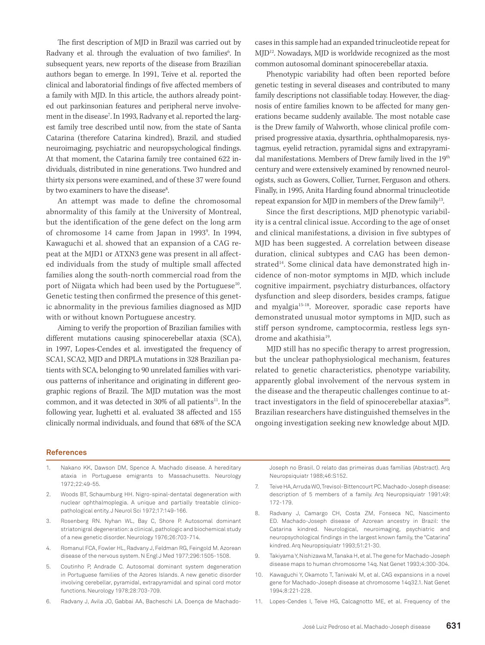The first description of MJD in Brazil was carried out by Radvany et al. through the evaluation of two families<sup>6</sup>. In subsequent years, new reports of the disease from Brazilian authors began to emerge. In 1991, Teive et al. reported the clinical and laboratorial findings of five affected members of a family with MJD. In this article, the authors already pointed out parkinsonian features and peripheral nerve involvement in the disease7 . In 1993, Radvany et al. reported the largest family tree described until now, from the state of Santa Catarina (therefore Catarina kindred), Brazil, and studied neuroimaging, psychiatric and neuropsychological findings. At that moment, the Catarina family tree contained 622 individuals, distributed in nine generations. Two hundred and thirty six persons were examined, and of these 37 were found by two examiners to have the disease<sup>8</sup>.

An attempt was made to define the chromosomal abnormality of this family at the University of Montreal, but the identification of the gene defect on the long arm of chromosome 14 came from Japan in 19939 . In 1994, Kawaguchi et al. showed that an expansion of a CAG repeat at the MJD1 or ATXN3 gene was present in all affected individuals from the study of multiple small affected families along the south-north commercial road from the port of Niigata which had been used by the Portuguese<sup>10</sup>. Genetic testing then confirmed the presence of this genetic abnormality in the previous families diagnosed as MJD with or without known Portuguese ancestry.

Aiming to verify the proportion of Brazilian families with different mutations causing spinocerebellar ataxia (SCA), in 1997, Lopes-Cendes et al. investigated the frequency of SCA1, SCA2, MJD and DRPLA mutations in 328 Brazilian patients with SCA, belonging to 90 unrelated families with various patterns of inheritance and originating in different geographic regions of Brazil. The MJD mutation was the most common, and it was detected in 30% of all patients<sup>11</sup>. In the following year, Iughetti et al. evaluated 38 affected and 155 clinically normal individuals, and found that 68% of the SCA

cases in this sample had an expanded trinucleotide repeat for MJD12. Nowadays, MJD is worldwide recognized as the most common autosomal dominant spinocerebellar ataxia.

Phenotypic variability had often been reported before genetic testing in several diseases and contributed to many family descriptions not classifiable today. However, the diagnosis of entire families known to be affected for many generations became suddenly available. The most notable case is the Drew family of Walworth, whose clinical profile comprised progressive ataxia, dysarthria, ophthalmoparesis, nystagmus, eyelid retraction, pyramidal signs and extrapyramidal manifestations. Members of Drew family lived in the 19<sup>th</sup> century and were extensively examined by renowned neurologists, such as Gowers, Collier, Turner, Ferguson and others. Finally, in 1995, Anita Harding found abnormal trinucleotide repeat expansion for MJD in members of the Drew family<sup>13</sup>.

Since the first descriptions, MJD phenotypic variability is a central clinical issue. According to the age of onset and clinical manifestations, a division in five subtypes of MJD has been suggested. A correlation between disease duration, clinical subtypes and CAG has been demonstrated<sup>14</sup>. Some clinical data have demonstrated high incidence of non-motor symptoms in MJD, which include cognitive impairment, psychiatry disturbances, olfactory dysfunction and sleep disorders, besides cramps, fatigue and myalgia15-18. Moreover, sporadic case reports have demonstrated unusual motor symptoms in MJD, such as stiff person syndrome, camptocormia, restless legs syndrome and akathisia<sup>19</sup>.

MJD still has no specific therapy to arrest progression, but the unclear pathophysiological mechanism, features related to genetic characteristics, phenotype variability, apparently global involvement of the nervous system in the disease and the therapeutic challenges continue to attract investigators in the field of spinocerebellar ataxias<sup>20</sup>. Brazilian researchers have distinguished themselves in the ongoing investigation seeking new knowledge about MJD.

## **References**

- 1. Nakano KK, Dawson DM, Spence A. Machado disease. A hereditary ataxia in Portuguese emigrants to Massachusetts. Neurology 1972;22:49-55.
- 2. Woods BT, Schaumburg HH. Nigro-spinal-dentatal degeneration with nuclear ophthalmoplegia. A unique and partially treatable clinicopathological entity. J Neurol Sci 1972;17:149-166.
- 3. Rosenberg RN. Nyhan WL, Bay C, Shore P. Autosomal dominant striatonigral degeneration: a clinical, pathologic and biochemical study of a new genetic disorder. Neurology 1976;26:703-714.
- 4. Romanul FCA, Fowler HL, Radvany J, Feldman RG, Feingold M. Azorean disease of the nervous system. N Engl J Med 1977;296:1505-1508.
- 5. Coutinho P, Andrade C. Autosomal dominant system degeneration in Portuguese families of the Azores Islands. A new genetic disorder involving cerebellar, pyramidal, extrapyramidal and spinal cord motor functions. Neurology 1978;28:703-709.
- 6. Radvany J, Avila JO, Gabbai AA, Bacheschi LA. Doença de Machado-

Joseph no Brasil. O relato das primeiras duas famílias (Abstract). Arq Neuropsiquiatr 1988;46:S152.

- 7. Teive HA, Arruda WO, Trevisol-Bittencourt PC. Machado-Joseph disease: description of 5 members of a family. Arq Neuropsiquiatr 1991;49: 172-179.
- 8. Radvany J, Camargo CH, Costa ZM, Fonseca NC, Nascimento ED. Machado-Joseph disease of Azorean ancestry in Brazil: the Catarina kindred. Neurological, neuroimaging, psychiatric and neuropsychological findings in the largest known family, the "Catarina" kindred. Arq Neuropsiquiatr 1993;51:21-30.
- 9. Takiyama Y, Nishizawa M, Tanaka H, et al. The gene for Machado-Joseph disease maps to human chromosome 14q. Nat Genet 1993;4:300-304.
- 10. Kawaguchi Y, Okamoto T, Taniwaki M, et al. CAG expansions in a novel gene for Machado-Joseph disease at chromosome 14q32.1. Nat Genet 1994;8:221-228.
- 11. Lopes-Cendes I, Teive HG, Calcagnotto ME, et al. Frequency of the